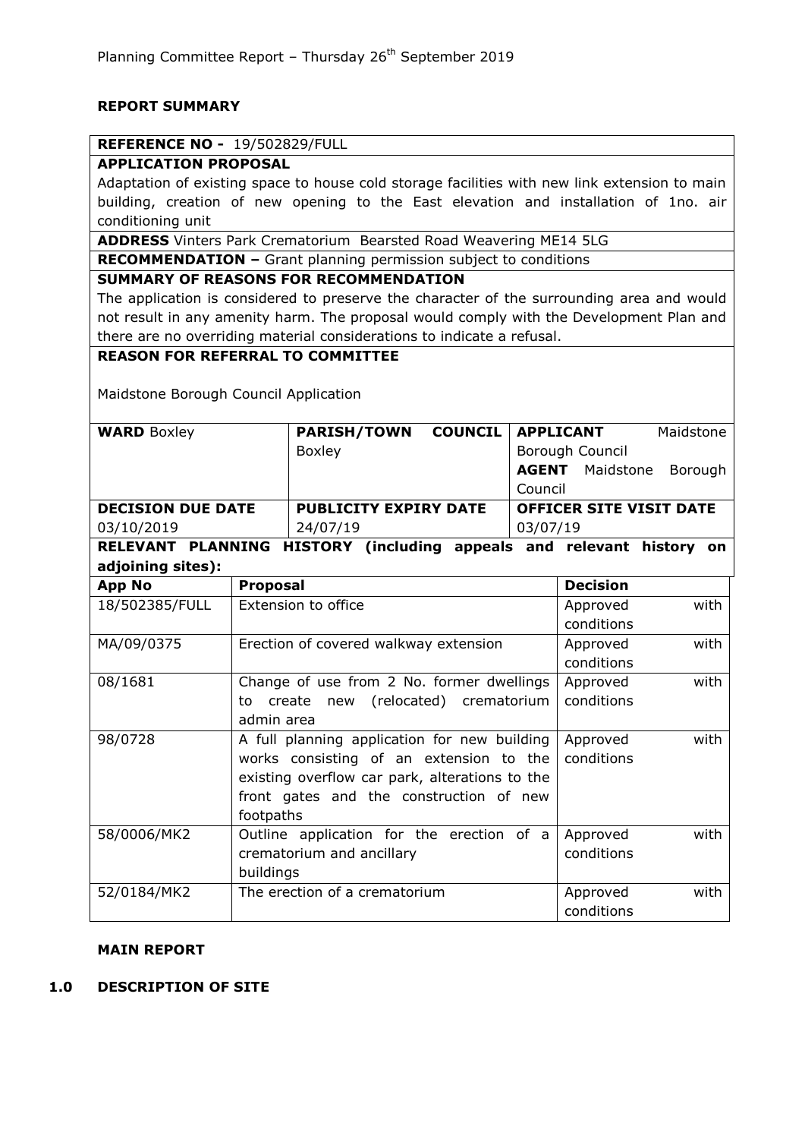#### **REPORT SUMMARY**

## **REFERENCE NO -** 19/502829/FULL

#### **APPLICATION PROPOSAL**

Adaptation of existing space to house cold storage facilities with new link extension to main building, creation of new opening to the East elevation and installation of 1no. air conditioning unit

**ADDRESS** Vinters Park Crematorium Bearsted Road Weavering ME14 5LG

**RECOMMENDATION –** Grant planning permission subject to conditions

#### **SUMMARY OF REASONS FOR RECOMMENDATION**

The application is considered to preserve the character of the surrounding area and would not result in any amenity harm. The proposal would comply with the Development Plan and there are no overriding material considerations to indicate a refusal.

## **REASON FOR REFERRAL TO COMMITTEE**

Maidstone Borough Council Application

| <b>WARD Boxley</b>       | <b>PARISH/TOWN</b>           | <b>COUNCIL   APPLICANT</b> |                                |                        | Maidstone |  |
|--------------------------|------------------------------|----------------------------|--------------------------------|------------------------|-----------|--|
|                          | Boxley                       |                            | Borough Council                |                        |           |  |
|                          |                              |                            |                                | <b>AGENT</b> Maidstone | Borough   |  |
|                          |                              |                            | Council                        |                        |           |  |
| <b>DECISION DUE DATE</b> | <b>PUBLICITY EXPIRY DATE</b> |                            | <b>OFFICER SITE VISIT DATE</b> |                        |           |  |
| 03/10/2019               | 24/07/19                     |                            | 03/07/19                       |                        |           |  |
|                          |                              |                            |                                |                        |           |  |

**RELEVANT PLANNING HISTORY (including appeals and relevant history on adjoining sites):**

| <b>App No</b>  | <b>Proposal</b>                                | <b>Decision</b>  |
|----------------|------------------------------------------------|------------------|
| 18/502385/FULL | Extension to office                            | with<br>Approved |
|                |                                                | conditions       |
| MA/09/0375     | Erection of covered walkway extension          | with<br>Approved |
|                |                                                | conditions       |
| 08/1681        | Change of use from 2 No. former dwellings      | with<br>Approved |
|                | create new (relocated) crematorium<br>to       | conditions       |
|                | admin area                                     |                  |
| 98/0728        | A full planning application for new building   | with<br>Approved |
|                | works consisting of an extension to the        | conditions       |
|                | existing overflow car park, alterations to the |                  |
|                | front gates and the construction of new        |                  |
|                | footpaths                                      |                  |
| 58/0006/MK2    | Outline application for the erection of a      | with<br>Approved |
|                | crematorium and ancillary                      | conditions       |
|                | buildings                                      |                  |
| 52/0184/MK2    | The erection of a crematorium                  | with<br>Approved |
|                |                                                | conditions       |

#### **MAIN REPORT**

## **1.0 DESCRIPTION OF SITE**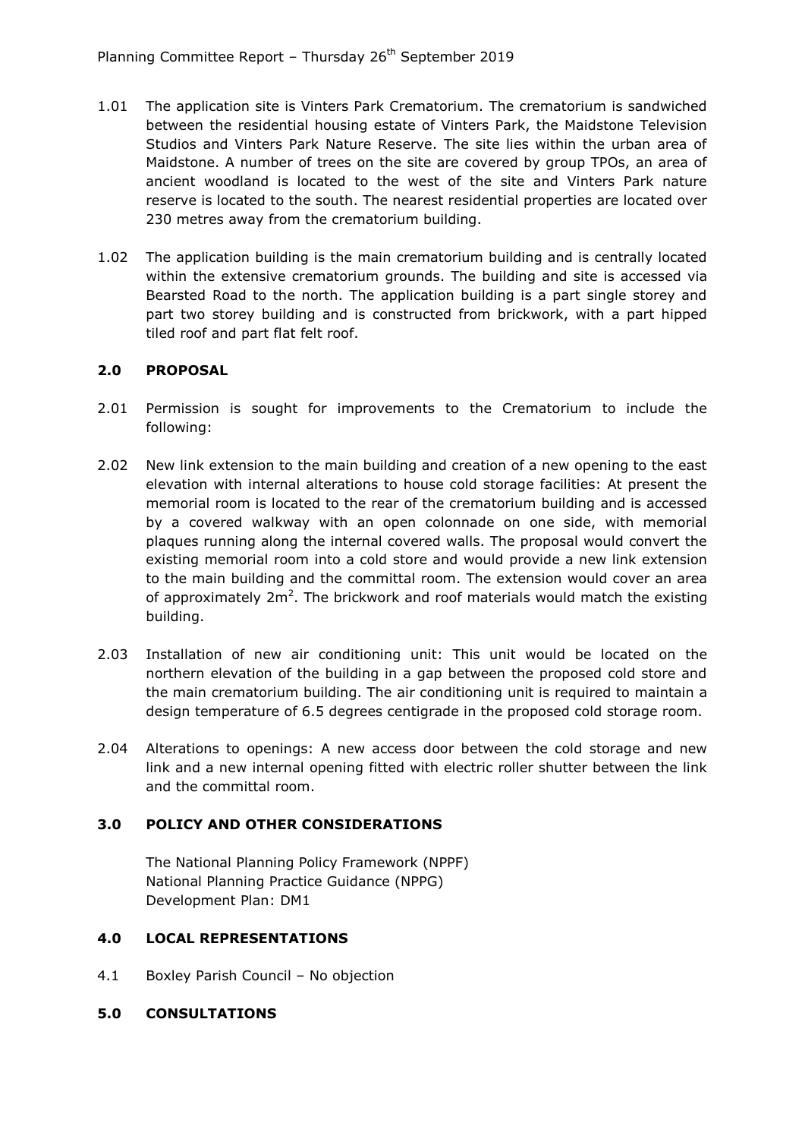- 1.01 The application site is Vinters Park Crematorium. The crematorium is sandwiched between the residential housing estate of Vinters Park, the Maidstone Television Studios and Vinters Park Nature Reserve. The site lies within the urban area of Maidstone. A number of trees on the site are covered by group TPOs, an area of ancient woodland is located to the west of the site and Vinters Park nature reserve is located to the south. The nearest residential properties are located over 230 metres away from the crematorium building.
- 1.02 The application building is the main crematorium building and is centrally located within the extensive crematorium grounds. The building and site is accessed via Bearsted Road to the north. The application building is a part single storey and part two storey building and is constructed from brickwork, with a part hipped tiled roof and part flat felt roof.

# **2.0 PROPOSAL**

- 2.01 Permission is sought for improvements to the Crematorium to include the following:
- 2.02 New link extension to the main building and creation of a new opening to the east elevation with internal alterations to house cold storage facilities: At present the memorial room is located to the rear of the crematorium building and is accessed by a covered walkway with an open colonnade on one side, with memorial plaques running along the internal covered walls. The proposal would convert the existing memorial room into a cold store and would provide a new link extension to the main building and the committal room. The extension would cover an area of approximately  $2m^2$ . The brickwork and roof materials would match the existing building.
- 2.03 Installation of new air conditioning unit: This unit would be located on the northern elevation of the building in a gap between the proposed cold store and the main crematorium building. The air conditioning unit is required to maintain a design temperature of 6.5 degrees centigrade in the proposed cold storage room.
- 2.04 Alterations to openings: A new access door between the cold storage and new link and a new internal opening fitted with electric roller shutter between the link and the committal room.

## **3.0 POLICY AND OTHER CONSIDERATIONS**

The National Planning Policy Framework (NPPF) National Planning Practice Guidance (NPPG) Development Plan: DM1

## **4.0 LOCAL REPRESENTATIONS**

4.1 Boxley Parish Council – No objection

## **5.0 CONSULTATIONS**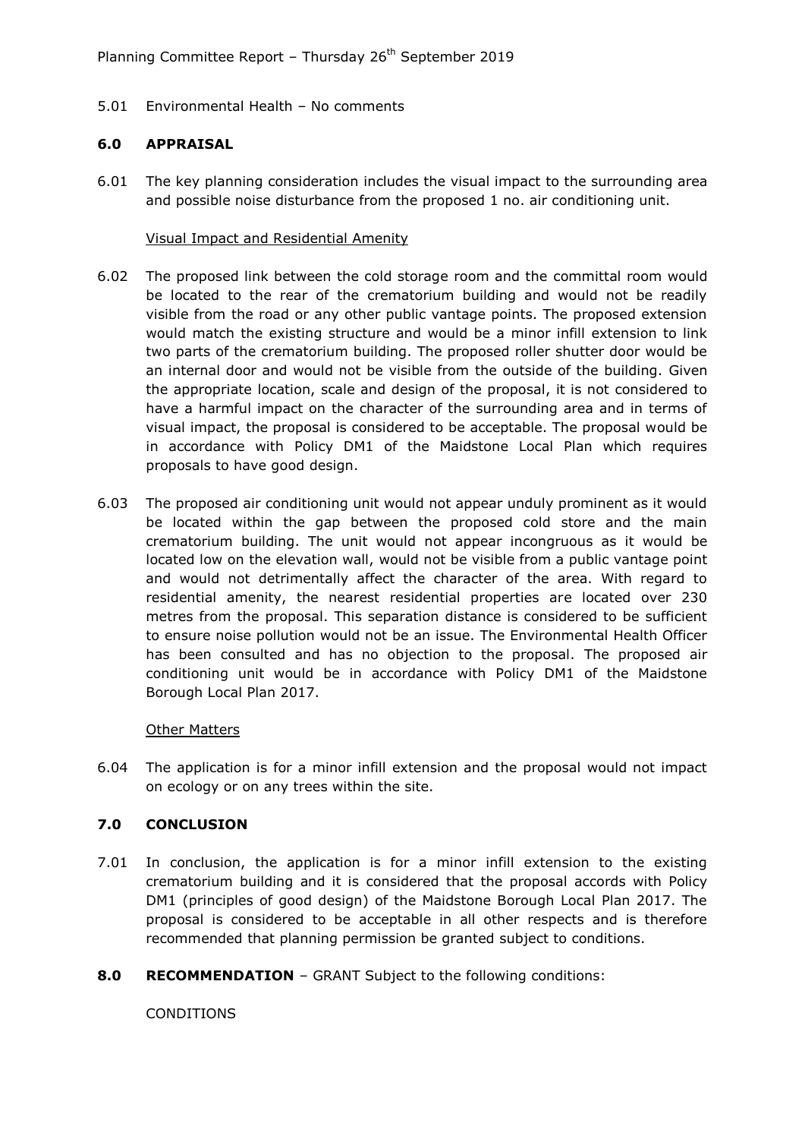5.01 Environmental Health – No comments

#### **6.0 APPRAISAL**

6.01 The key planning consideration includes the visual impact to the surrounding area and possible noise disturbance from the proposed 1 no. air conditioning unit.

#### Visual Impact and Residential Amenity

- 6.02 The proposed link between the cold storage room and the committal room would be located to the rear of the crematorium building and would not be readily visible from the road or any other public vantage points. The proposed extension would match the existing structure and would be a minor infill extension to link two parts of the crematorium building. The proposed roller shutter door would be an internal door and would not be visible from the outside of the building. Given the appropriate location, scale and design of the proposal, it is not considered to have a harmful impact on the character of the surrounding area and in terms of visual impact, the proposal is considered to be acceptable. The proposal would be in accordance with Policy DM1 of the Maidstone Local Plan which requires proposals to have good design.
- 6.03 The proposed air conditioning unit would not appear unduly prominent as it would be located within the gap between the proposed cold store and the main crematorium building. The unit would not appear incongruous as it would be located low on the elevation wall, would not be visible from a public vantage point and would not detrimentally affect the character of the area. With regard to residential amenity, the nearest residential properties are located over 230 metres from the proposal. This separation distance is considered to be sufficient to ensure noise pollution would not be an issue. The Environmental Health Officer has been consulted and has no objection to the proposal. The proposed air conditioning unit would be in accordance with Policy DM1 of the Maidstone Borough Local Plan 2017.

#### Other Matters

6.04 The application is for a minor infill extension and the proposal would not impact on ecology or on any trees within the site.

## **7.0 CONCLUSION**

- 7.01 In conclusion, the application is for a minor infill extension to the existing crematorium building and it is considered that the proposal accords with Policy DM1 (principles of good design) of the Maidstone Borough Local Plan 2017. The proposal is considered to be acceptable in all other respects and is therefore recommended that planning permission be granted subject to conditions.
- **8.0 RECOMMENDATION** GRANT Subject to the following conditions:

**CONDITIONS**